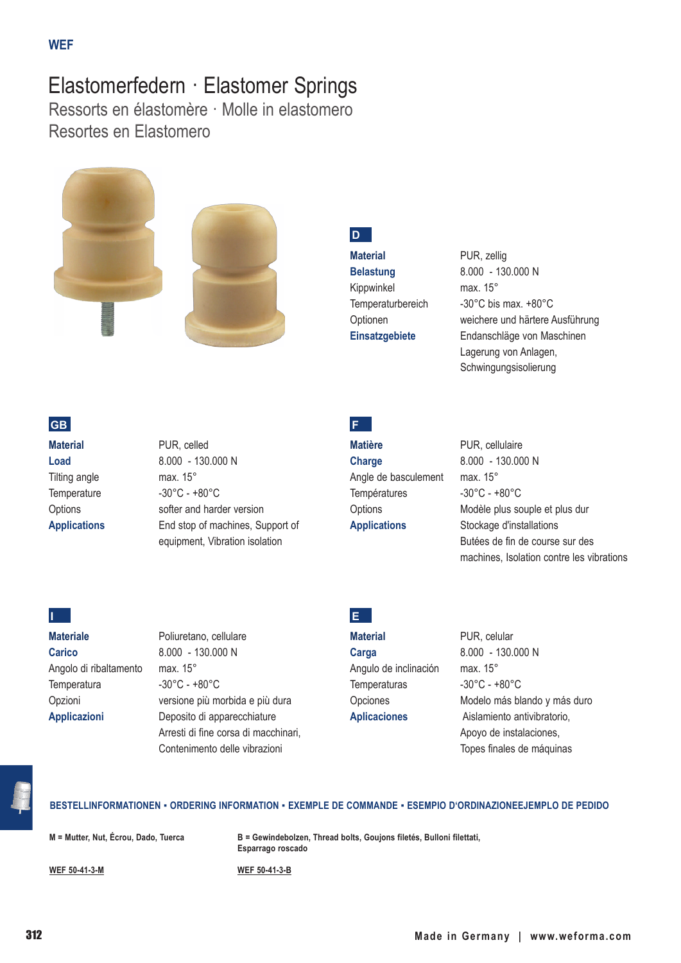# Elastomerfedern · Elastomer Springs

Ressorts en élastomère · Molle in elastomero Resortes en Elastomero





## **D**

**Material** PUR, zellig Kippwinkel max. 15°

**Belastung** 8.000 - 130.000 N Temperaturbereich -30°C bis max. +80°C Optionen weichere und härtere Ausführung **Einsatzgebiete** Endanschläge von Maschinen Lagerung von Anlagen, Schwingungsisolierung

## **GB**

**Material** PUR, celled Tilting angle max. 15°

**Load** 8.000 - 130.000 N Temperature -30°C - +80°C Options softer and harder version **Applications** End stop of machines, Support of equipment, Vibration isolation

## **F**

**Matière** PUR, cellulaire **Charge** 8.000 - 130.000 N Angle de basculement max. 15° Températures -30°C - +80°C

Options Modèle plus souple et plus dur **Applications** Stockage d'installations Butées de fin de course sur des machines, Isolation contre les vibrations

#### **I**

**Materiale** Poliuretano, cellulare **Carico** 8.000 - 130.000 N Angolo di ribaltamento max. 15° Temperatura -30°C - +80°C

Opzioni versione più morbida e più dura **Applicazioni** Deposito di apparecchiature Arresti di fine corsa di macchinari, Contenimento delle vibrazioni

## **E**

**Carga** 8.000 - 130.000 N Angulo de inclinación max. 15° Temperaturas -30°C - +80°C

**Material** PUR, celular Opciones Modelo más blando y más duro **Aplicaciones** Aislamiento antivibratorio, Apoyo de instalaciones, Topes finales de máquinas

#### **BESTELLINFORMATIONEN ▪ ORDERING INFORMATION ▪ EXEMPLE DE COMMANDE ▪ ESEMPIO D'ORDINAZIONEEJEMPLO DE PEDIDO**

**M = Mutter, Nut, Écrou, Dado, Tuerca**

**B = Gewindebolzen, Thread bolts, Goujons filetés, Bulloni filettati, Esparrago roscado**

**WEF 50-41-3-M**

**WEF 50-41-3-B**